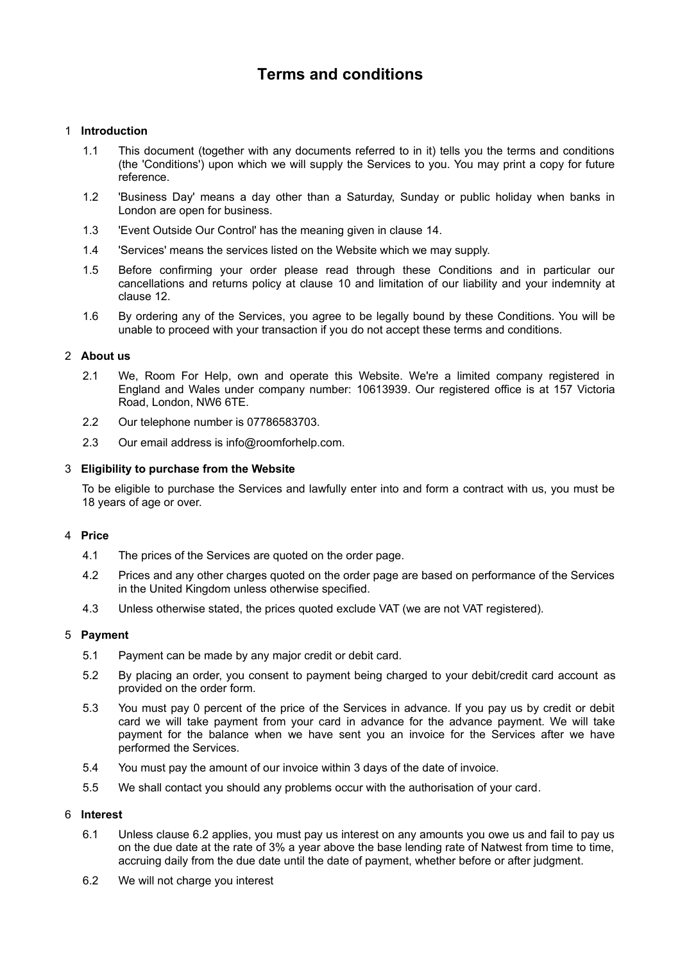## **Terms and conditions**

#### 1 **Introduction**

- 1.1 This document (together with any documents referred to in it) tells you the terms and conditions (the 'Conditions') upon which we will supply the Services to you. You may print a copy for future reference.
- 1.2 'Business Day' means a day other than a Saturday, Sunday or public holiday when banks in London are open for business.
- 1.3 'Event Outside Our Control' has the meaning given in clause [14.](#page-4-0)
- 1.4 'Services' means the services listed on the Website which we may supply.
- 1.5 Before confirming your order please read through these Conditions and in particular our cancellations and returns policy at clause [10](#page-2-0) and limitation of our liability and your indemnity at clause [12.](#page-4-1)
- 1.6 By ordering any of the Services, you agree to be legally bound by these Conditions. You will be unable to proceed with your transaction if you do not accept these terms and conditions.

#### 2 **About us**

- 2.1 We, Room For Help, own and operate this Website. We're a limited company registered in England and Wales under company number: 10613939. Our registered office is at 157 Victoria Road, London, NW6 6TE.
- 2.2 Our telephone number is 07786583703.
- 2.3 Our email address is info@roomforhelp.com.

#### 3 **Eligibility to purchase from the Website**

To be eligible to purchase the Services and lawfully enter into and form a contract with us, you must be 18 years of age or over.

#### 4 **Price**

- 4.1 The prices of the Services are quoted on the order page.
- 4.2 Prices and any other charges quoted on the order page are based on performance of the Services in the United Kingdom unless otherwise specified.
- 4.3 Unless otherwise stated, the prices quoted exclude VAT (we are not VAT registered).

#### 5 **Payment**

- 5.1 Payment can be made by any major credit or debit card.
- 5.2 By placing an order, you consent to payment being charged to your debit/credit card account as provided on the order form.
- 5.3 You must pay 0 percent of the price of the Services in advance. If you pay us by credit or debit card we will take payment from your card in advance for the advance payment. We will take payment for the balance when we have sent you an invoice for the Services after we have performed the Services.
- 5.4 You must pay the amount of our invoice within 3 days of the date of invoice.
- 5.5 We shall contact you should any problems occur with the authorisation of your card.

#### 6 **Interest**

- 6.1 Unless clause [6.2](#page-0-0) applies, you must pay us interest on any amounts you owe us and fail to pay us on the due date at the rate of 3% a year above the base lending rate of Natwest from time to time, accruing daily from the due date until the date of payment, whether before or after judgment.
- <span id="page-0-0"></span>6.2 We will not charge you interest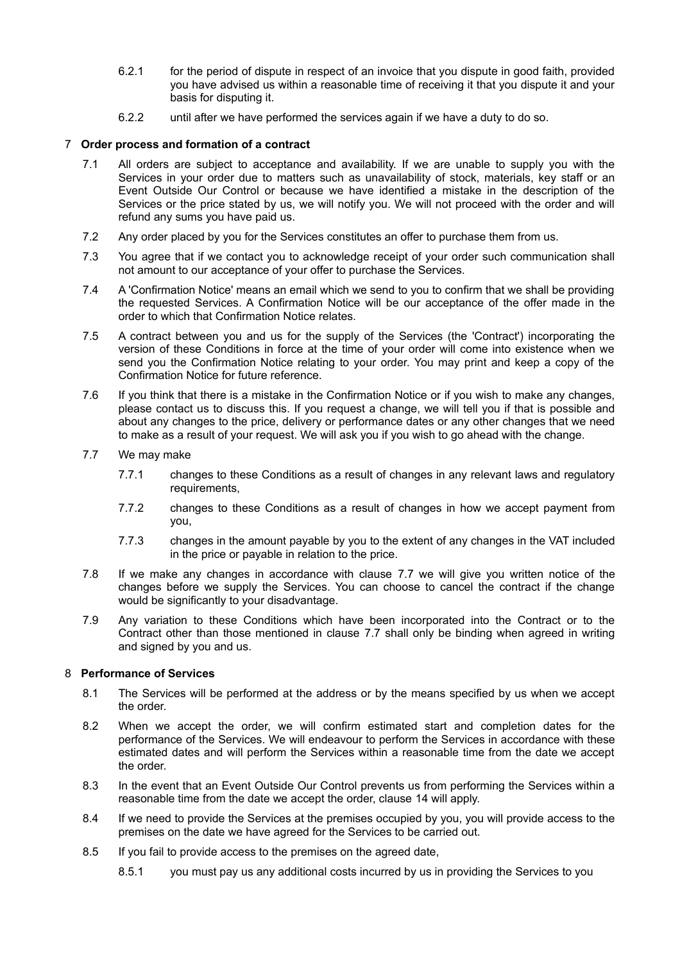- 6.2.1 for the period of dispute in respect of an invoice that you dispute in good faith, provided you have advised us within a reasonable time of receiving it that you dispute it and your basis for disputing it.
- 6.2.2 until after we have performed the services again if we have a duty to do so.

#### 7 **Order process and formation of a contract**

- 7.1 All orders are subject to acceptance and availability. If we are unable to supply you with the Services in your order due to matters such as unavailability of stock, materials, key staff or an Event Outside Our Control or because we have identified a mistake in the description of the Services or the price stated by us, we will notify you. We will not proceed with the order and will refund any sums you have paid us.
- 7.2 Any order placed by you for the Services constitutes an offer to purchase them from us.
- 7.3 You agree that if we contact you to acknowledge receipt of your order such communication shall not amount to our acceptance of your offer to purchase the Services.
- 7.4 A 'Confirmation Notice' means an email which we send to you to confirm that we shall be providing the requested Services. A Confirmation Notice will be our acceptance of the offer made in the order to which that Confirmation Notice relates.
- 7.5 A contract between you and us for the supply of the Services (the 'Contract') incorporating the version of these Conditions in force at the time of your order will come into existence when we send you the Confirmation Notice relating to your order. You may print and keep a copy of the Confirmation Notice for future reference.
- 7.6 If you think that there is a mistake in the Confirmation Notice or if you wish to make any changes, please contact us to discuss this. If you request a change, we will tell you if that is possible and about any changes to the price, delivery or performance dates or any other changes that we need to make as a result of your request. We will ask you if you wish to go ahead with the change.
- <span id="page-1-0"></span>7.7 We may make
	- 7.7.1 changes to these Conditions as a result of changes in any relevant laws and regulatory requirements,
	- 7.7.2 changes to these Conditions as a result of changes in how we accept payment from you,
	- 7.7.3 changes in the amount payable by you to the extent of any changes in the VAT included in the price or payable in relation to the price.
- 7.8 If we make any changes in accordance with clause [7.7](#page-1-0) we will give you written notice of the changes before we supply the Services. You can choose to cancel the contract if the change would be significantly to your disadvantage.
- 7.9 Any variation to these Conditions which have been incorporated into the Contract or to the Contract other than those mentioned in clause [7.7](#page-1-0) shall only be binding when agreed in writing and signed by you and us.

#### 8 **Performance of Services**

- 8.1 The Services will be performed at the address or by the means specified by us when we accept the order.
- 8.2 When we accept the order, we will confirm estimated start and completion dates for the performance of the Services. We will endeavour to perform the Services in accordance with these estimated dates and will perform the Services within a reasonable time from the date we accept the order.
- 8.3 In the event that an Event Outside Our Control prevents us from performing the Services within a reasonable time from the date we accept the order, clause [14](#page-4-0) will apply.
- 8.4 If we need to provide the Services at the premises occupied by you, you will provide access to the premises on the date we have agreed for the Services to be carried out.
- 8.5 If you fail to provide access to the premises on the agreed date,
	- 8.5.1 you must pay us any additional costs incurred by us in providing the Services to you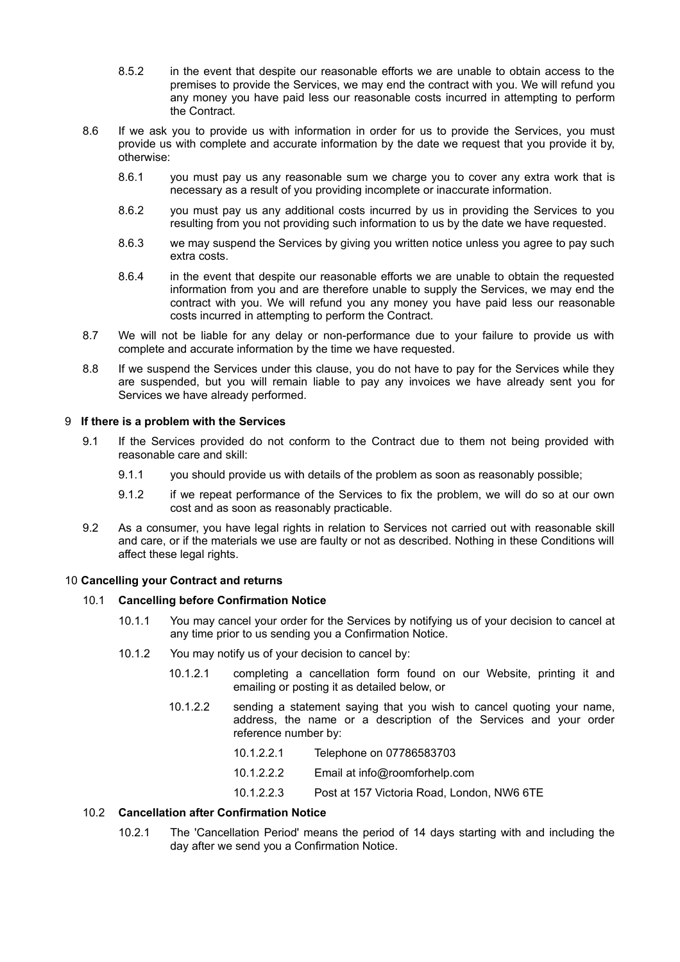- 8.5.2 in the event that despite our reasonable efforts we are unable to obtain access to the premises to provide the Services, we may end the contract with you. We will refund you any money you have paid less our reasonable costs incurred in attempting to perform the Contract.
- 8.6 If we ask you to provide us with information in order for us to provide the Services, you must provide us with complete and accurate information by the date we request that you provide it by, otherwise:
	- 8.6.1 you must pay us any reasonable sum we charge you to cover any extra work that is necessary as a result of you providing incomplete or inaccurate information.
	- 8.6.2 you must pay us any additional costs incurred by us in providing the Services to you resulting from you not providing such information to us by the date we have requested.
	- 8.6.3 we may suspend the Services by giving you written notice unless you agree to pay such extra costs.
	- 8.6.4 in the event that despite our reasonable efforts we are unable to obtain the requested information from you and are therefore unable to supply the Services, we may end the contract with you. We will refund you any money you have paid less our reasonable costs incurred in attempting to perform the Contract.
- 8.7 We will not be liable for any delay or non-performance due to your failure to provide us with complete and accurate information by the time we have requested.
- 8.8 If we suspend the Services under this clause, you do not have to pay for the Services while they are suspended, but you will remain liable to pay any invoices we have already sent you for Services we have already performed.

#### 9 **If there is a problem with the Services**

- 9.1 If the Services provided do not conform to the Contract due to them not being provided with reasonable care and skill:
	- 9.1.1 you should provide us with details of the problem as soon as reasonably possible;
	- 9.1.2 if we repeat performance of the Services to fix the problem, we will do so at our own cost and as soon as reasonably practicable.
- 9.2 As a consumer, you have legal rights in relation to Services not carried out with reasonable skill and care, or if the materials we use are faulty or not as described. Nothing in these Conditions will affect these legal rights.

#### <span id="page-2-0"></span>10 **Cancelling your Contract and returns**

#### 10.1 **Cancelling before Confirmation Notice**

- 10.1.1 You may cancel your order for the Services by notifying us of your decision to cancel at any time prior to us sending you a Confirmation Notice.
- 10.1.2 You may notify us of your decision to cancel by:
	- 10.1.2.1 completing a cancellation form found on our Website, printing it and emailing or posting it as detailed below, or
	- 10.1.2.2 sending a statement saying that you wish to cancel quoting your name, address, the name or a description of the Services and your order reference number by:
		- 10.1.2.2.1 Telephone on 07786583703
		- 10.1.2.2.2 Email at info@roomforhelp.com
		- 10.1.2.2.3 Post at 157 Victoria Road, London, NW6 6TE

#### 10.2 **Cancellation after Confirmation Notice**

<span id="page-2-1"></span>10.2.1 The 'Cancellation Period' means the period of 14 days starting with and including the day after we send you a Confirmation Notice.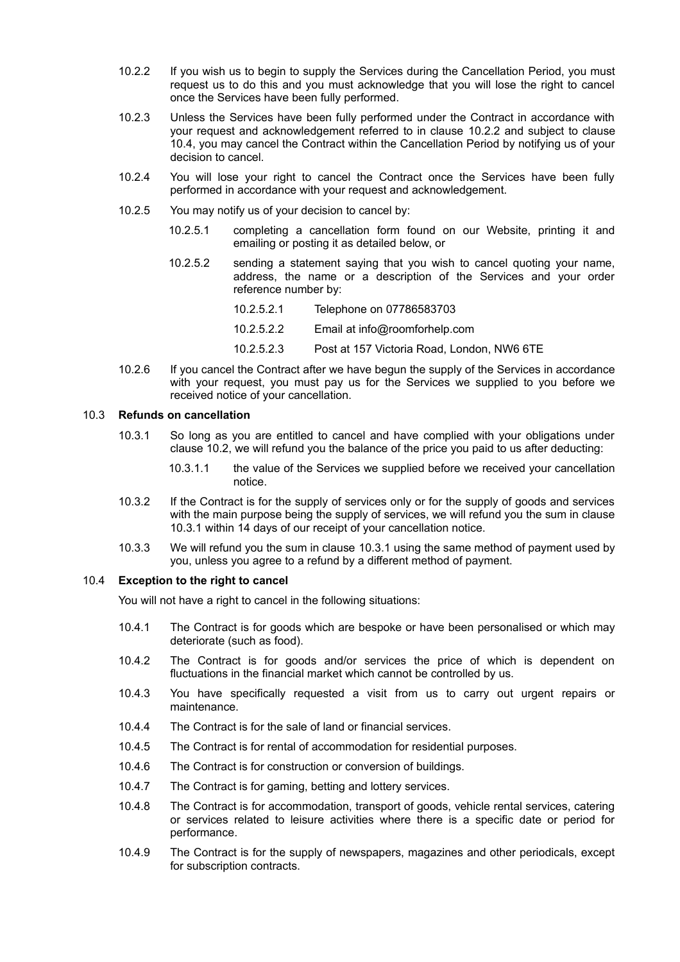- <span id="page-3-2"></span>10.2.2 If you wish us to begin to supply the Services during the Cancellation Period, you must request us to do this and you must acknowledge that you will lose the right to cancel once the Services have been fully performed.
- 10.2.3 Unless the Services have been fully performed under the Contract in accordance with your request and acknowledgement referred to in clause [10.2.2](#page-3-2) and subject to clause [10.4,](#page-3-1) you may cancel the Contract within the Cancellation Period by notifying us of your decision to cancel.
- 10.2.4 You will lose your right to cancel the Contract once the Services have been fully performed in accordance with your request and acknowledgement.
- 10.2.5 You may notify us of your decision to cancel by:
	- 10.2.5.1 completing a cancellation form found on our Website, printing it and emailing or posting it as detailed below, or
	- 10.2.5.2 sending a statement saying that you wish to cancel quoting your name, address, the name or a description of the Services and your order reference number by:
		- 10.2.5.2.1 Telephone on 07786583703
		- 10.2.5.2.2 Email at info@roomforhelp.com
		- 10.2.5.2.3 Post at 157 Victoria Road, London, NW6 6TE
- 10.2.6 If you cancel the Contract after we have begun the supply of the Services in accordance with your request, you must pay us for the Services we supplied to you before we received notice of your cancellation.

#### 10.3 **Refunds on cancellation**

- <span id="page-3-0"></span>10.3.1 So long as you are entitled to cancel and have complied with your obligations under clause [10.2,](#page-2-1) we will refund you the balance of the price you paid to us after deducting:
	- 10.3.1.1 the value of the Services we supplied before we received your cancellation notice.
- 10.3.2 If the Contract is for the supply of services only or for the supply of goods and services with the main purpose being the supply of services, we will refund you the sum in clause [10.3.1](#page-3-0) within 14 days of our receipt of your cancellation notice.
- 10.3.3 We will refund you the sum in clause [10.3.1](#page-3-0) using the same method of payment used by you, unless you agree to a refund by a different method of payment.

#### 10.4 **Exception to the right to cancel**

<span id="page-3-1"></span>You will not have a right to cancel in the following situations:

- 10.4.1 The Contract is for goods which are bespoke or have been personalised or which may deteriorate (such as food).
- 10.4.2 The Contract is for goods and/or services the price of which is dependent on fluctuations in the financial market which cannot be controlled by us.
- 10.4.3 You have specifically requested a visit from us to carry out urgent repairs or maintenance.
- 10.4.4 The Contract is for the sale of land or financial services.
- 10.4.5 The Contract is for rental of accommodation for residential purposes.
- 10.4.6 The Contract is for construction or conversion of buildings.
- 10.4.7 The Contract is for gaming, betting and lottery services.
- 10.4.8 The Contract is for accommodation, transport of goods, vehicle rental services, catering or services related to leisure activities where there is a specific date or period for performance.
- 10.4.9 The Contract is for the supply of newspapers, magazines and other periodicals, except for subscription contracts.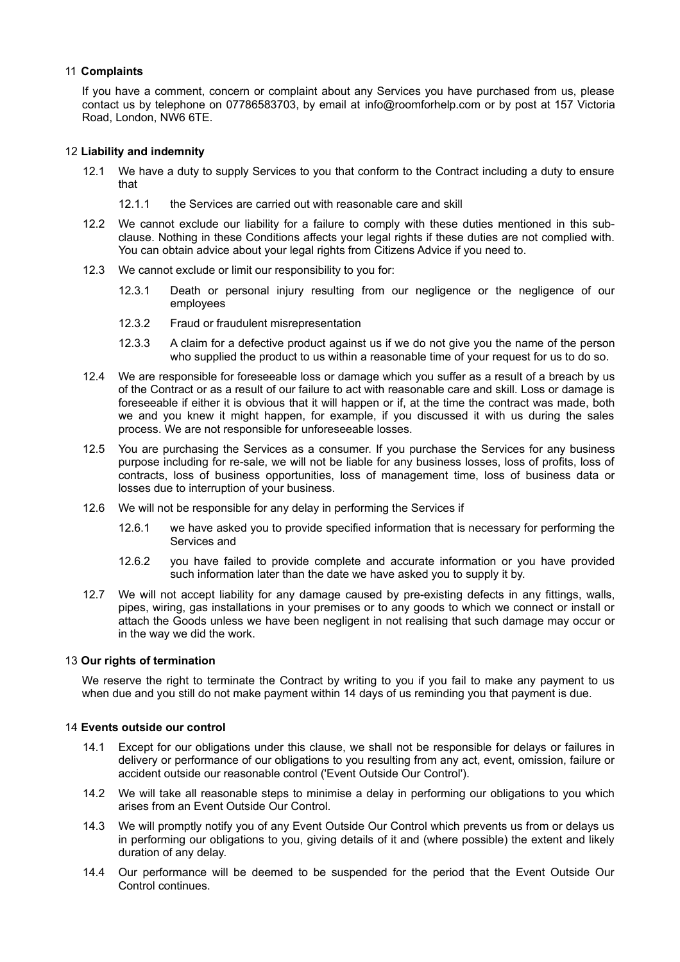#### 11 **Complaints**

If you have a comment, concern or complaint about any Services you have purchased from us, please contact us by telephone on 07786583703, by email at info@roomforhelp.com or by post at 157 Victoria Road, London, NW6 6TE.

#### <span id="page-4-1"></span>12 **Liability and indemnity**

- 12.1 We have a duty to supply Services to you that conform to the Contract including a duty to ensure that
	- 12.1.1 the Services are carried out with reasonable care and skill
- 12.2 We cannot exclude our liability for a failure to comply with these duties mentioned in this subclause. Nothing in these Conditions affects your legal rights if these duties are not complied with. You can obtain advice about your legal rights from Citizens Advice if you need to.
- 12.3 We cannot exclude or limit our responsibility to you for:
	- 12.3.1 Death or personal injury resulting from our negligence or the negligence of our employees
	- 12.3.2 Fraud or fraudulent misrepresentation
	- 12.3.3 A claim for a defective product against us if we do not give you the name of the person who supplied the product to us within a reasonable time of your request for us to do so.
- 12.4 We are responsible for foreseeable loss or damage which you suffer as a result of a breach by us of the Contract or as a result of our failure to act with reasonable care and skill. Loss or damage is foreseeable if either it is obvious that it will happen or if, at the time the contract was made, both we and you knew it might happen, for example, if you discussed it with us during the sales process. We are not responsible for unforeseeable losses.
- 12.5 You are purchasing the Services as a consumer. If you purchase the Services for any business purpose including for re-sale, we will not be liable for any business losses, loss of profits, loss of contracts, loss of business opportunities, loss of management time, loss of business data or losses due to interruption of your business.
- 12.6 We will not be responsible for any delay in performing the Services if
	- 12.6.1 we have asked you to provide specified information that is necessary for performing the Services and
	- 12.6.2 you have failed to provide complete and accurate information or you have provided such information later than the date we have asked you to supply it by.
- 12.7 We will not accept liability for any damage caused by pre-existing defects in any fittings, walls, pipes, wiring, gas installations in your premises or to any goods to which we connect or install or attach the Goods unless we have been negligent in not realising that such damage may occur or in the way we did the work.

#### 13 **Our rights of termination**

We reserve the right to terminate the Contract by writing to you if you fail to make any payment to us when due and you still do not make payment within 14 days of us reminding you that payment is due.

#### <span id="page-4-0"></span>14 **Events outside our control**

- 14.1 Except for our obligations under this clause, we shall not be responsible for delays or failures in delivery or performance of our obligations to you resulting from any act, event, omission, failure or accident outside our reasonable control ('Event Outside Our Control').
- 14.2 We will take all reasonable steps to minimise a delay in performing our obligations to you which arises from an Event Outside Our Control.
- 14.3 We will promptly notify you of any Event Outside Our Control which prevents us from or delays us in performing our obligations to you, giving details of it and (where possible) the extent and likely duration of any delay.
- 14.4 Our performance will be deemed to be suspended for the period that the Event Outside Our Control continues.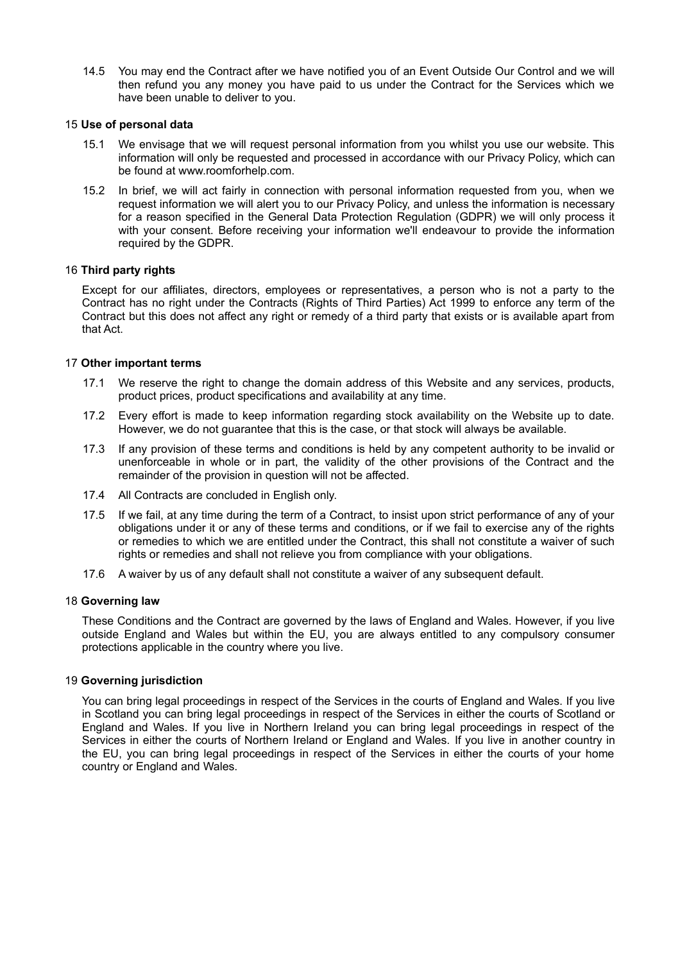14.5 You may end the Contract after we have notified you of an Event Outside Our Control and we will then refund you any money you have paid to us under the Contract for the Services which we have been unable to deliver to you.

#### 15 **Use of personal data**

- 15.1 We envisage that we will request personal information from you whilst you use our website. This information will only be requested and processed in accordance with our Privacy Policy, which can be found at www.roomforhelp.com.
- 15.2 In brief, we will act fairly in connection with personal information requested from you, when we request information we will alert you to our Privacy Policy, and unless the information is necessary for a reason specified in the General Data Protection Regulation (GDPR) we will only process it with your consent. Before receiving your information we'll endeavour to provide the information required by the GDPR.

#### 16 **Third party rights**

Except for our affiliates, directors, employees or representatives, a person who is not a party to the Contract has no right under the Contracts (Rights of Third Parties) Act 1999 to enforce any term of the Contract but this does not affect any right or remedy of a third party that exists or is available apart from that Act.

#### 17 **Other important terms**

- 17.1 We reserve the right to change the domain address of this Website and any services, products, product prices, product specifications and availability at any time.
- 17.2 Every effort is made to keep information regarding stock availability on the Website up to date. However, we do not guarantee that this is the case, or that stock will always be available.
- 17.3 If any provision of these terms and conditions is held by any competent authority to be invalid or unenforceable in whole or in part, the validity of the other provisions of the Contract and the remainder of the provision in question will not be affected.
- 17.4 All Contracts are concluded in English only.
- 17.5 If we fail, at any time during the term of a Contract, to insist upon strict performance of any of your obligations under it or any of these terms and conditions, or if we fail to exercise any of the rights or remedies to which we are entitled under the Contract, this shall not constitute a waiver of such rights or remedies and shall not relieve you from compliance with your obligations.
- 17.6 A waiver by us of any default shall not constitute a waiver of any subsequent default.

#### 18 **Governing law**

These Conditions and the Contract are governed by the laws of England and Wales. However, if you live outside England and Wales but within the EU, you are always entitled to any compulsory consumer protections applicable in the country where you live.

#### 19 **Governing jurisdiction**

You can bring legal proceedings in respect of the Services in the courts of England and Wales. If you live in Scotland you can bring legal proceedings in respect of the Services in either the courts of Scotland or England and Wales. If you live in Northern Ireland you can bring legal proceedings in respect of the Services in either the courts of Northern Ireland or England and Wales. If you live in another country in the EU, you can bring legal proceedings in respect of the Services in either the courts of your home country or England and Wales.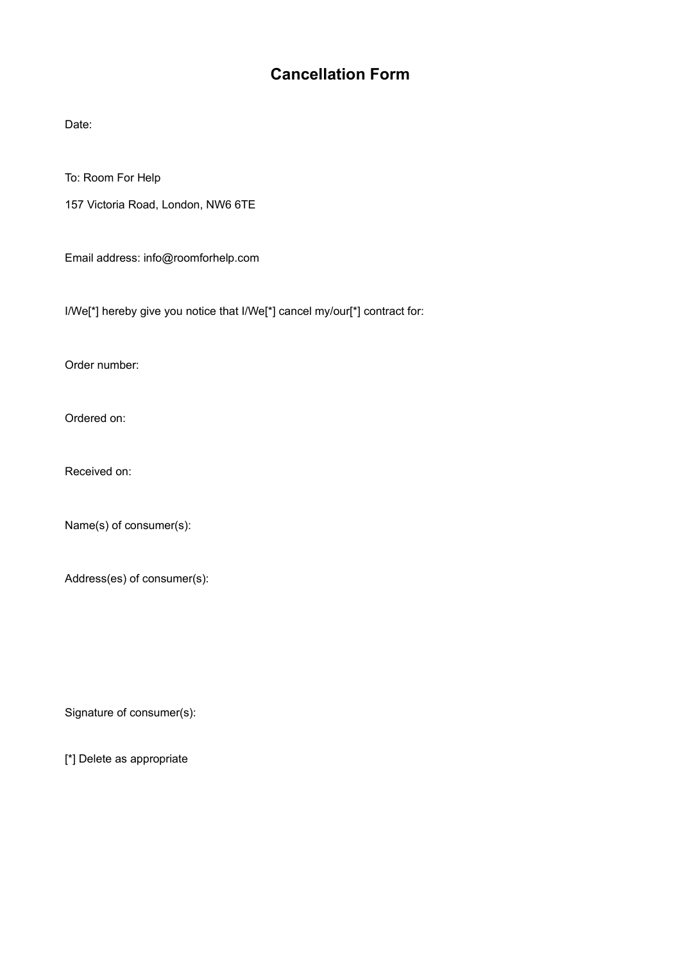# **Cancellation Form**

Date:

To: Room For Help

157 Victoria Road, London, NW6 6TE

Email address: info@roomforhelp.com

I/We[\*] hereby give you notice that I/We[\*] cancel my/our[\*] contract for:

Order number:

Ordered on:

Received on:

Name(s) of consumer(s):

Address(es) of consumer(s):

Signature of consumer(s):

[\*] Delete as appropriate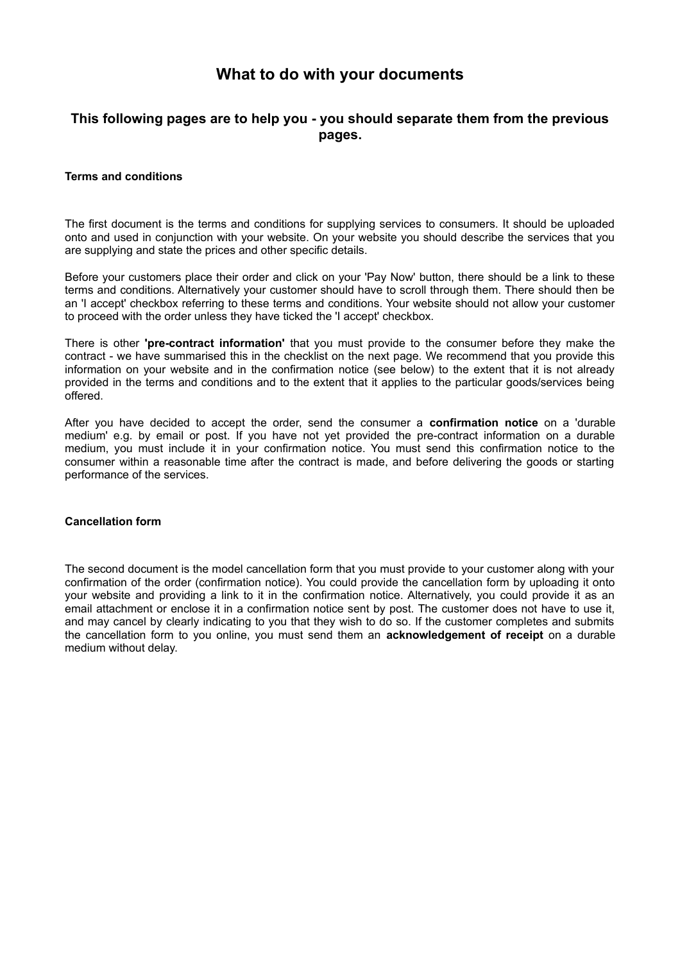## **What to do with your documents**

### **This following pages are to help you - you should separate them from the previous pages.**

#### **Terms and conditions**

The first document is the terms and conditions for supplying services to consumers. It should be uploaded onto and used in conjunction with your website. On your website you should describe the services that you are supplying and state the prices and other specific details.

Before your customers place their order and click on your 'Pay Now' button, there should be a link to these terms and conditions. Alternatively your customer should have to scroll through them. There should then be an 'I accept' checkbox referring to these terms and conditions. Your website should not allow your customer to proceed with the order unless they have ticked the 'I accept' checkbox.

There is other **'pre-contract information'** that you must provide to the consumer before they make the contract - we have summarised this in the checklist on the next page. We recommend that you provide this information on your website and in the confirmation notice (see below) to the extent that it is not already provided in the terms and conditions and to the extent that it applies to the particular goods/services being offered.

After you have decided to accept the order, send the consumer a **confirmation notice** on a 'durable medium' e.g. by email or post. If you have not yet provided the pre-contract information on a durable medium, you must include it in your confirmation notice. You must send this confirmation notice to the consumer within a reasonable time after the contract is made, and before delivering the goods or starting performance of the services.

#### **Cancellation form**

The second document is the model cancellation form that you must provide to your customer along with your confirmation of the order (confirmation notice). You could provide the cancellation form by uploading it onto your website and providing a link to it in the confirmation notice. Alternatively, you could provide it as an email attachment or enclose it in a confirmation notice sent by post. The customer does not have to use it, and may cancel by clearly indicating to you that they wish to do so. If the customer completes and submits the cancellation form to you online, you must send them an **acknowledgement of receipt** on a durable medium without delay.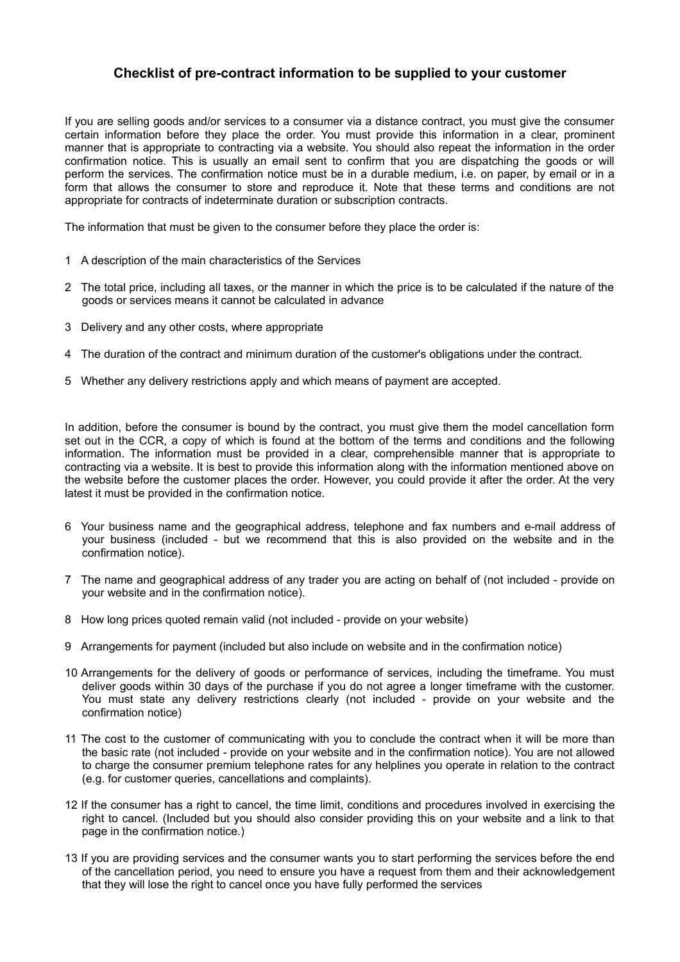### **Checklist of pre-contract information to be supplied to your customer**

If you are selling goods and/or services to a consumer via a distance contract, you must give the consumer certain information before they place the order. You must provide this information in a clear, prominent manner that is appropriate to contracting via a website. You should also repeat the information in the order confirmation notice. This is usually an email sent to confirm that you are dispatching the goods or will perform the services. The confirmation notice must be in a durable medium, i.e. on paper, by email or in a form that allows the consumer to store and reproduce it. Note that these terms and conditions are not appropriate for contracts of indeterminate duration or subscription contracts.

The information that must be given to the consumer before they place the order is:

- 1 A description of the main characteristics of the Services
- 2 The total price, including all taxes, or the manner in which the price is to be calculated if the nature of the goods or services means it cannot be calculated in advance
- 3 Delivery and any other costs, where appropriate
- 4 The duration of the contract and minimum duration of the customer's obligations under the contract.
- 5 Whether any delivery restrictions apply and which means of payment are accepted.

In addition, before the consumer is bound by the contract, you must give them the model cancellation form set out in the CCR, a copy of which is found at the bottom of the terms and conditions and the following information. The information must be provided in a clear, comprehensible manner that is appropriate to contracting via a website. It is best to provide this information along with the information mentioned above on the website before the customer places the order. However, you could provide it after the order. At the very latest it must be provided in the confirmation notice.

- 6 Your business name and the geographical address, telephone and fax numbers and e-mail address of your business (included - but we recommend that this is also provided on the website and in the confirmation notice).
- 7 The name and geographical address of any trader you are acting on behalf of (not included provide on your website and in the confirmation notice).
- 8 How long prices quoted remain valid (not included provide on your website)
- 9 Arrangements for payment (included but also include on website and in the confirmation notice)
- 10 Arrangements for the delivery of goods or performance of services, including the timeframe. You must deliver goods within 30 days of the purchase if you do not agree a longer timeframe with the customer. You must state any delivery restrictions clearly (not included - provide on your website and the confirmation notice)
- 11 The cost to the customer of communicating with you to conclude the contract when it will be more than the basic rate (not included - provide on your website and in the confirmation notice). You are not allowed to charge the consumer premium telephone rates for any helplines you operate in relation to the contract (e.g. for customer queries, cancellations and complaints).
- 12 If the consumer has a right to cancel, the time limit, conditions and procedures involved in exercising the right to cancel. (Included but you should also consider providing this on your website and a link to that page in the confirmation notice.)
- 13 If you are providing services and the consumer wants you to start performing the services before the end of the cancellation period, you need to ensure you have a request from them and their acknowledgement that they will lose the right to cancel once you have fully performed the services